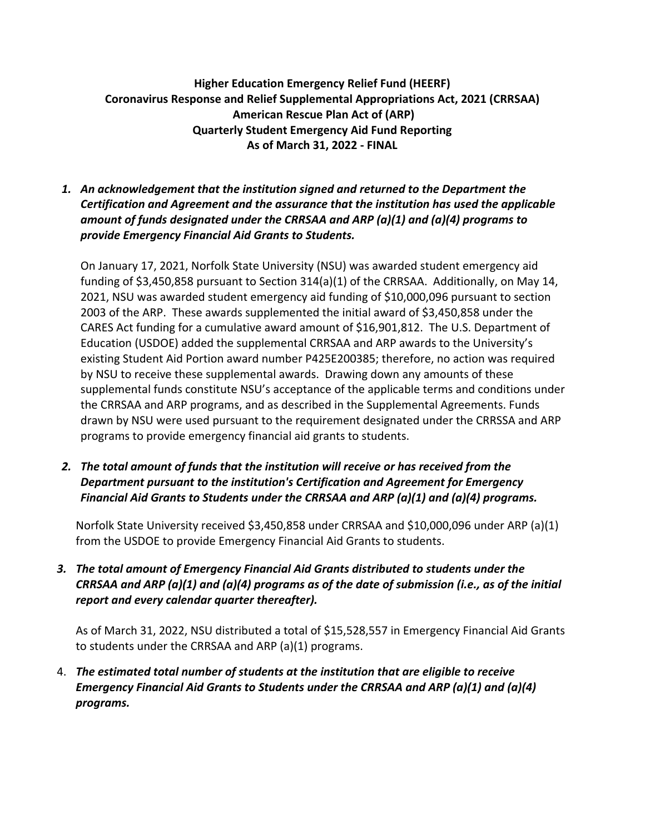## **Higher Education Emergency Relief Fund (HEERF) Coronavirus Response and Relief Supplemental Appropriations Act, 2021 (CRRSAA) American Rescue Plan Act of (ARP) Quarterly Student Emergency Aid Fund Reporting As of March 31, 2022 - FINAL**

*1. An acknowledgement that the institution signed and returned to the Department the Certification and Agreement and the assurance that the institution has used the applicable amount of funds designated under the CRRSAA and ARP (a)(1) and (a)(4) programs to provide Emergency Financial Aid Grants to Students.*

On January 17, 2021, Norfolk State University (NSU) was awarded student emergency aid funding of \$3,450,858 pursuant to Section 314(a)(1) of the CRRSAA. Additionally, on May 14, 2021, NSU was awarded student emergency aid funding of \$10,000,096 pursuant to section 2003 of the ARP. These awards supplemented the initial award of \$3,450,858 under the CARES Act funding for a cumulative award amount of \$16,901,812. The U.S. Department of Education (USDOE) added the supplemental CRRSAA and ARP awards to the University's existing Student Aid Portion award number P425E200385; therefore, no action was required by NSU to receive these supplemental awards. Drawing down any amounts of these supplemental funds constitute NSU's acceptance of the applicable terms and conditions under the CRRSAA and ARP programs, and as described in the Supplemental Agreements. Funds drawn by NSU were used pursuant to the requirement designated under the CRRSSA and ARP programs to provide emergency financial aid grants to students.

*2. The total amount of funds that the institution will receive or has received from the Department pursuant to the institution's Certification and Agreement for Emergency Financial Aid Grants to Students under the CRRSAA and ARP (a)(1) and (a)(4) programs.*

Norfolk State University received \$3,450,858 under CRRSAA and \$10,000,096 under ARP (a)(1) from the USDOE to provide Emergency Financial Aid Grants to students.

*3. The total amount of Emergency Financial Aid Grants distributed to students under the CRRSAA and ARP (a)(1) and (a)(4) programs as of the date of submission (i.e., as of the initial report and every calendar quarter thereafter).*

As of March 31, 2022, NSU distributed a total of \$15,528,557 in Emergency Financial Aid Grants to students under the CRRSAA and ARP (a)(1) programs.

4. *The estimated total number of students at the institution that are eligible to receive Emergency Financial Aid Grants to Students under the CRRSAA and ARP (a)(1) and (a)(4) programs.*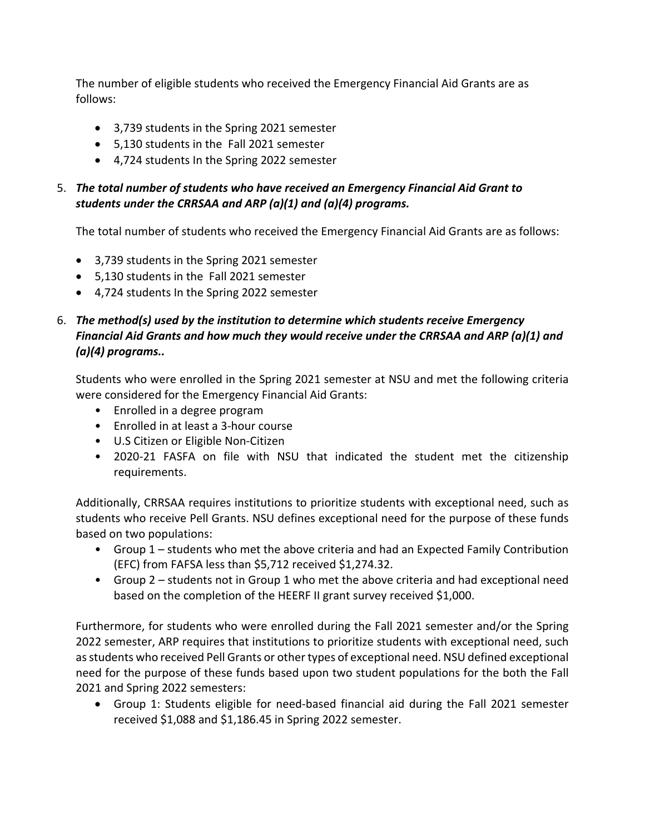The number of eligible students who received the Emergency Financial Aid Grants are as follows:

- 3,739 students in the Spring 2021 semester
- 5,130 students in the Fall 2021 semester
- 4,724 students In the Spring 2022 semester

## 5. *The total number of students who have received an Emergency Financial Aid Grant to students under the CRRSAA and ARP (a)(1) and (a)(4) programs.*

The total number of students who received the Emergency Financial Aid Grants are as follows:

- 3,739 students in the Spring 2021 semester
- 5,130 students in the Fall 2021 semester
- 4,724 students In the Spring 2022 semester

## 6. *The method(s) used by the institution to determine which students receive Emergency Financial Aid Grants and how much they would receive under the CRRSAA and ARP (a)(1) and (a)(4) programs..*

Students who were enrolled in the Spring 2021 semester at NSU and met the following criteria were considered for the Emergency Financial Aid Grants:

- Enrolled in a degree program
- Enrolled in at least a 3-hour course
- U.S Citizen or Eligible Non-Citizen
- 2020-21 FASFA on file with NSU that indicated the student met the citizenship requirements.

Additionally, CRRSAA requires institutions to prioritize students with exceptional need, such as students who receive Pell Grants. NSU defines exceptional need for the purpose of these funds based on two populations:

- Group 1 students who met the above criteria and had an Expected Family Contribution (EFC) from FAFSA less than \$5,712 received \$1,274.32.
- Group 2 students not in Group 1 who met the above criteria and had exceptional need based on the completion of the HEERF II grant survey received \$1,000.

Furthermore, for students who were enrolled during the Fall 2021 semester and/or the Spring 2022 semester, ARP requires that institutions to prioritize students with exceptional need, such as students who received Pell Grants or other types of exceptional need. NSU defined exceptional need for the purpose of these funds based upon two student populations for the both the Fall 2021 and Spring 2022 semesters:

• Group 1: Students eligible for need-based financial aid during the Fall 2021 semester received \$1,088 and \$1,186.45 in Spring 2022 semester.